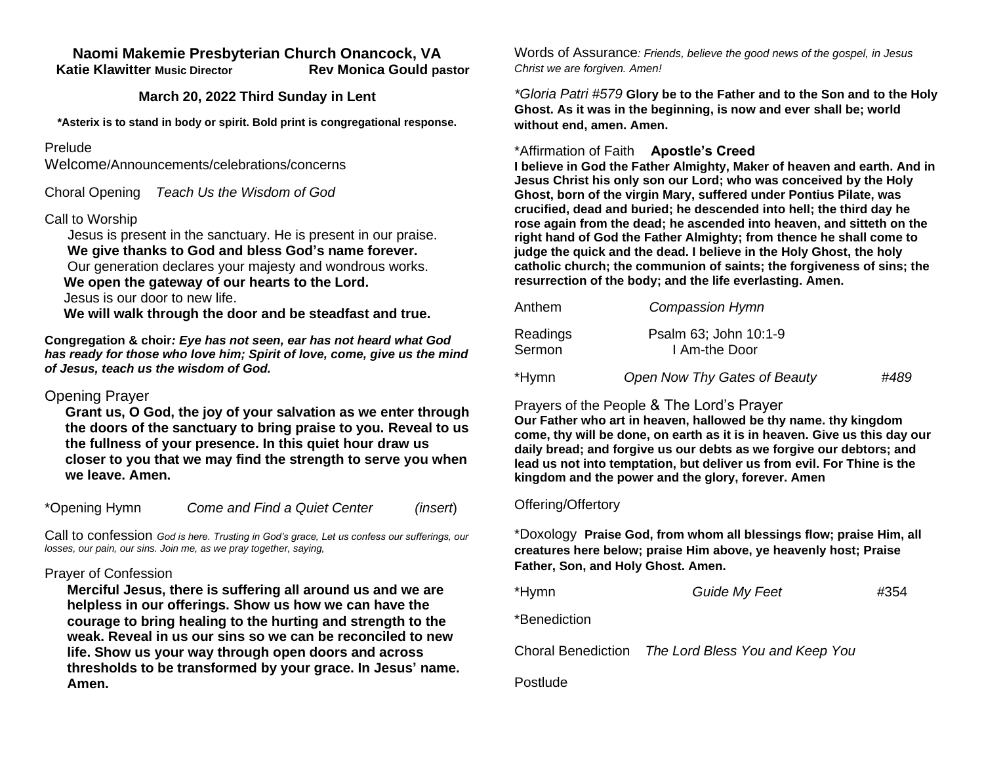## **Naomi Makemie Presbyterian Church Onancock, VA**

 **Katie Klawitter Music Director Rev Monica Gould pastor**

#### **March 20, 2022 Third Sunday in Lent**

**\*Asterix is to stand in body or spirit. Bold print is congregational response.**

### Prelude

Welcome/Announcements/celebrations/concerns

Choral Opening *Teach Us the Wisdom of God*

## Call to Worship

 Jesus is present in the sanctuary. He is present in our praise.  **We give thanks to God and bless God's name forever.** 

Our generation declares your majesty and wondrous works.

 **We open the gateway of our hearts to the Lord.**

Jesus is our door to new life.

 **We will walk through the door and be steadfast and true.** 

**Congregation & choir***: Eye has not seen, ear has not heard what God has ready for those who love him; Spirit of love, come, give us the mind of Jesus, teach us the wisdom of God.* 

## Opening Prayer

**Grant us, O God, the joy of your salvation as we enter through the doors of the sanctuary to bring praise to you. Reveal to us the fullness of your presence. In this quiet hour draw us closer to you that we may find the strength to serve you when we leave. Amen.** 

\*Opening Hymn *Come and Find a Quiet Center**(insert*)

Call to confession *God is here. Trusting in God's grace, Let us confess our sufferings, our losses, our pain, our sins. Join me, as we pray together, saying,*

#### Prayer of Confession

**Merciful Jesus, there is suffering all around us and we are helpless in our offerings. Show us how we can have the courage to bring healing to the hurting and strength to the weak. Reveal in us our sins so we can be reconciled to new life. Show us your way through open doors and across thresholds to be transformed by your grace. In Jesus' name. Amen.** 

Words of Assurance*: Friends, believe the good news of the gospel, in Jesus Christ we are forgiven. Amen!*

*\*Gloria Patri #579* **Glory be to the Father and to the Son and to the Holy Ghost. As it was in the beginning, is now and ever shall be; world without end, amen. Amen.** 

#### \*Affirmation of Faith **Apostle's Creed**

**I believe in God the Father Almighty, Maker of heaven and earth. And in Jesus Christ his only son our Lord; who was conceived by the Holy Ghost, born of the virgin Mary, suffered under Pontius Pilate, was crucified, dead and buried; he descended into hell; the third day he rose again from the dead; he ascended into heaven, and sitteth on the right hand of God the Father Almighty; from thence he shall come to judge the quick and the dead. I believe in the Holy Ghost, the holy catholic church; the communion of saints; the forgiveness of sins; the resurrection of the body; and the life everlasting. Amen.**

| Anthem             | Compassion Hymn                        |      |
|--------------------|----------------------------------------|------|
| Readings<br>Sermon | Psalm 63; John 10:1-9<br>I Am-the Door |      |
| *Hymn              | Open Now Thy Gates of Beauty           | #489 |

# Prayers of the People & The Lord's Prayer

**Our Father who art in heaven, hallowed be thy name. thy kingdom come, thy will be done, on earth as it is in heaven. Give us this day our daily bread; and forgive us our debts as we forgive our debtors; and lead us not into temptation, but deliver us from evil. For Thine is the kingdom and the power and the glory, forever. Amen**

#### Offering/Offertory

\*Doxology **Praise God, from whom all blessings flow; praise Him, all creatures here below; praise Him above, ye heavenly host; Praise Father, Son, and Holy Ghost. Amen.** 

| Guide My Feet<br>#354 |
|-----------------------|
|                       |

\*Benediction

Choral Benediction *The Lord Bless You and Keep You*

Postlude